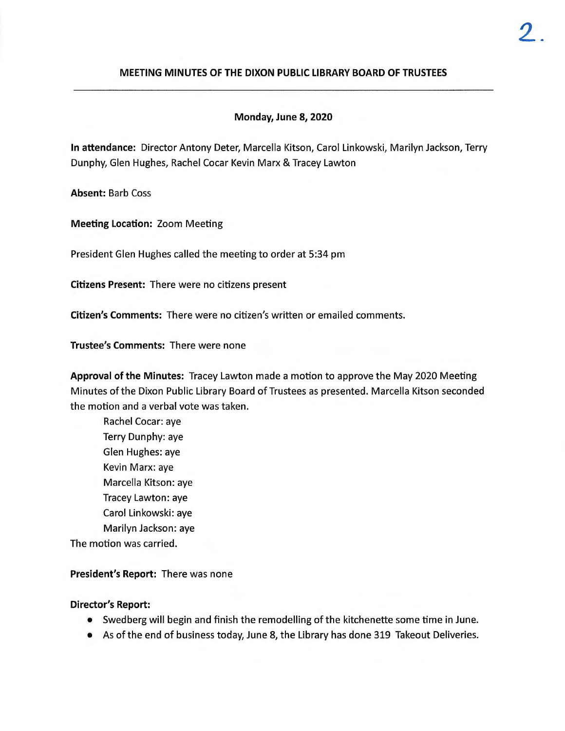## **MEETING MINUTES OF THE DIXON PUBLIC LIBRARY BOARD OF TRUSTEES**

### **Monday, June 8, 2020**

**In attendance:** Director Antony Deter, Marcella Kitson, Carol Linkowski, Marilyn Jackson, Terry Dunphy, Glen Hughes, Rachel Cocar Kevin Marx & Tracey Lawton

**Absent:** Barb Coss

**Meeting Location:** Zoom Meeting

President Glen Hughes called the meeting to order at 5:34 pm

**Citizens Present:** There were no citizens present

**Citizen's Comments:** There were no citizen's written or emailed comments.

**Trustee's Comments:** There were none

**Approval of the Minutes:** Tracey Lawton made a motion to approve the May 2020 Meeting Minutes of the Dixon Public Library Board of Trustees as presented . Marcella Kitson seconded the motion and a verbal vote was taken.

Rachel Cocar: aye Terry Dunphy: aye Glen Hughes: aye Kevin Marx: aye Marcella Kitson: aye Tracey Lawton: aye Carol Linkowski: aye Marilyn Jackson: aye The motion was carried.

**President's Report:** There was none

#### **Director's Report:**

- Swedberg will begin and finish the remodelling of the kitchenette some time in June.
- As of the end of business today, June 8, the Library has done 319 Takeout Deliveries.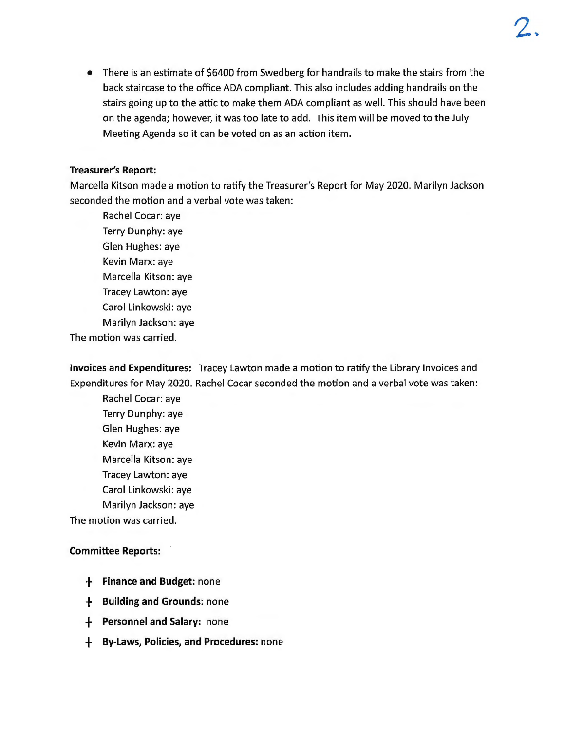• There is an estimate of \$6400 from Swedberg for handrails to make the stairs from the back staircase to the office ADA compliant. This also includes adding handrails on the stairs going up to the attic to make them ADA compliant as well. This should have been on the agenda; however, it was too late to add. This item will be moved to the July Meeting Agenda so it can be voted on as an action item.

### **Treasurer's Report:**

Marcella Kitson made a motion to ratify the Treasurer's Report for May 2020. Marilyn Jackson seconded the motion and a verbal vote was taken:

Rachel Cocar: aye Terry Dunphy: aye Glen Hughes: aye Kevin Marx: aye Marcella Kitson: aye Tracey Lawton: aye Carol Linkowski: aye Marilyn Jackson: aye

The motion was carried.

**Invoices and Expenditures:** Tracey Lawton made a motion to ratify the Library Invoices and Expenditures for May 2020. Rachel Cocar seconded the motion and a verbal vote was taken:

Rachel Cocar: aye Terry Dunphy: aye Glen Hughes: aye Kevin Marx: aye Marcella Kitson: aye Tracey Lawton: aye Carol Linkowski: aye Marilyn Jackson: aye

The motion was carried.

## **Committee Reports:**

- + **Finance and Budget:** none
- + **Building and Grounds:** none
- + **Personnel and Salary:** none
- + **By-Laws, Policies, and Procedures:** none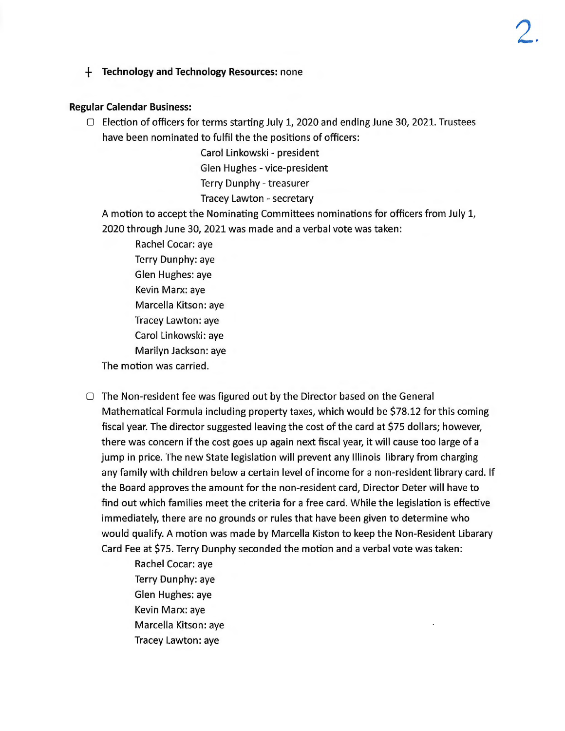+ **Technology and Technology Resources:** none

#### **Regular Calendar Business:**

 $\Box$  Election of officers for terms starting July 1, 2020 and ending June 30, 2021. Trustees have been nominated to fulfil the the positions of officers:

> Carol Linkowski - president Glen Hughes - vice-president Terry Dunphy - treasurer Tracey Lawton - secretary

A motion to accept the Nominating Committees nominations for officers from July 1, 2020 through June 30, 2021 was made and a verbal vote was taken:

Rachel Cocar: aye Terry Dunphy: aye Glen Hughes: aye Kevin Marx: aye Marcella Kitson: aye Tracey Lawton: aye Carol Linkowski: aye Marilyn Jackson: aye The motion was carried.

D The Non-resident fee was figured out by the Director based on the General Mathematical Formula including property taxes, which would be \$78.12 for this coming fiscal year. The director suggested leaving the cost of the card at \$75 dollars; however, there was concern if the cost goes up again next fiscal year, it will cause too large of a jump in price. The new State legislation will prevent any Illinois library from charging any family with children below a certain level of income for a non-resident library card. If the Board approves the amount for the non-resident card, Director Deter will have to find out which families meet the criteria for a free card. While the legislation is effective immediately, there are no grounds or rules that have been given to determine who would qualify. A motion was made by Marcella Kiston to keep the Non-Resident Libarary Card Fee at \$75. Terry Dunphy seconded the motion and a verbal vote was taken:

> Rachel Cocar: aye Terry Dunphy: aye Glen Hughes: aye Kevin Marx: aye Marcella Kitson: aye Tracey Lawton: aye